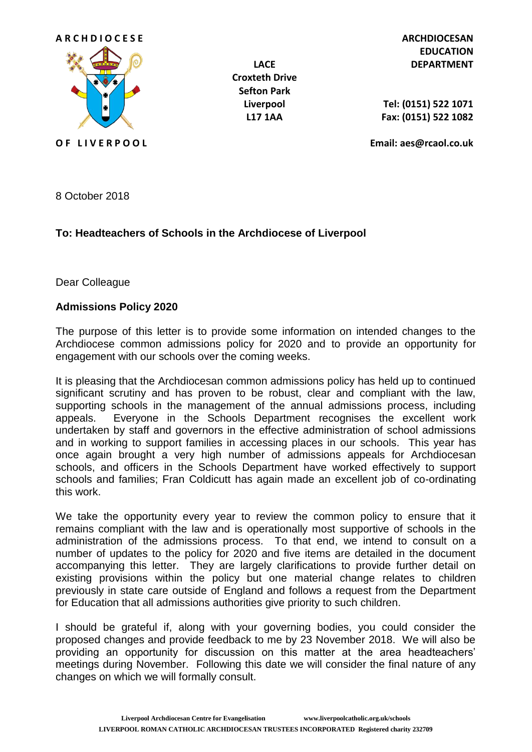

**Croxteth Drive Sefton Park**

**EDUCATION LACE DEPARTMENT**

**Liverpool Tel: (0151) 522 1071 L17 1AA Fax: (0151) 522 1082**

**O F L I V E R P O O L Email: aes@rcaol.co.uk**

8 October 2018

## **To: Headteachers of Schools in the Archdiocese of Liverpool**

Dear Colleague

## **Admissions Policy 2020**

The purpose of this letter is to provide some information on intended changes to the Archdiocese common admissions policy for 2020 and to provide an opportunity for engagement with our schools over the coming weeks.

It is pleasing that the Archdiocesan common admissions policy has held up to continued significant scrutiny and has proven to be robust, clear and compliant with the law, supporting schools in the management of the annual admissions process, including appeals. Everyone in the Schools Department recognises the excellent work undertaken by staff and governors in the effective administration of school admissions and in working to support families in accessing places in our schools. This year has once again brought a very high number of admissions appeals for Archdiocesan schools, and officers in the Schools Department have worked effectively to support schools and families; Fran Coldicutt has again made an excellent job of co-ordinating this work.

We take the opportunity every year to review the common policy to ensure that it remains compliant with the law and is operationally most supportive of schools in the administration of the admissions process. To that end, we intend to consult on a number of updates to the policy for 2020 and five items are detailed in the document accompanying this letter. They are largely clarifications to provide further detail on existing provisions within the policy but one material change relates to children previously in state care outside of England and follows a request from the Department for Education that all admissions authorities give priority to such children.

I should be grateful if, along with your governing bodies, you could consider the proposed changes and provide feedback to me by 23 November 2018. We will also be providing an opportunity for discussion on this matter at the area headteachers' meetings during November. Following this date we will consider the final nature of any changes on which we will formally consult.